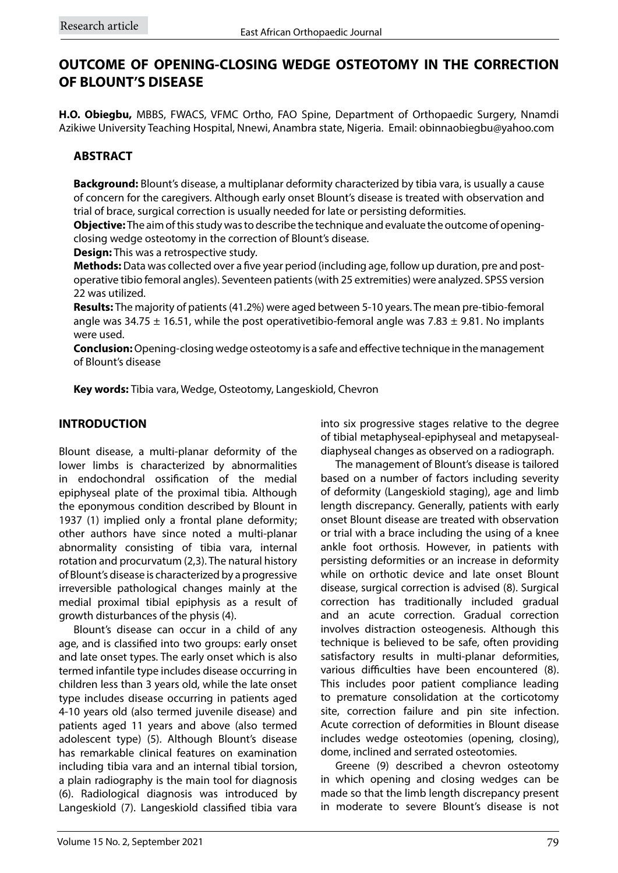# **OUTCOME OF OPENING-CLOSING WEDGE OSTEOTOMY IN THE CORRECTION OF BLOUNT'S DISEASE**

**H.O. Obiegbu,** MBBS, FWACS, VFMC Ortho, FAO Spine, Department of Orthopaedic Surgery, Nnamdi Azikiwe University Teaching Hospital, Nnewi, Anambra state, Nigeria. Email: obinnaobiegbu@yahoo.com

## **ABSTRACT**

**Background:** Blount's disease, a multiplanar deformity characterized by tibia vara, is usually a cause of concern for the caregivers. Although early onset Blount's disease is treated with observation and trial of brace, surgical correction is usually needed for late or persisting deformities.

**Objective:** The aim of this study was to describe the technique and evaluate the outcome of openingclosing wedge osteotomy in the correction of Blount's disease.

**Design:** This was a retrospective study.

**Methods:** Data was collected over a five year period (including age, follow up duration, pre and postoperative tibio femoral angles). Seventeen patients (with 25 extremities) were analyzed. SPSS version 22 was utilized.

**Results:** The majority of patients (41.2%) were aged between 5-10 years. The mean pre-tibio-femoral angle was 34.75  $\pm$  16.51, while the post operativetibio-femoral angle was 7.83  $\pm$  9.81. No implants were used.

**Conclusion:** Opening-closing wedge osteotomy is a safe and effective technique in the management of Blount's disease

**Key words:** Tibia vara, Wedge, Osteotomy, Langeskiold, Chevron

### **INTRODUCTION**

Blount disease, a multi-planar deformity of the lower limbs is characterized by abnormalities in endochondral ossification of the medial epiphyseal plate of the proximal tibia. Although the eponymous condition described by Blount in 1937 (1) implied only a frontal plane deformity; other authors have since noted a multi-planar abnormality consisting of tibia vara, internal rotation and procurvatum (2,3). The natural history of Blount's disease is characterized by a progressive irreversible pathological changes mainly at the medial proximal tibial epiphysis as a result of growth disturbances of the physis (4).

Blount's disease can occur in a child of any age, and is classified into two groups: early onset and late onset types. The early onset which is also termed infantile type includes disease occurring in children less than 3 years old, while the late onset type includes disease occurring in patients aged 4-10 years old (also termed juvenile disease) and patients aged 11 years and above (also termed adolescent type) (5). Although Blount's disease has remarkable clinical features on examination including tibia vara and an internal tibial torsion, a plain radiography is the main tool for diagnosis (6). Radiological diagnosis was introduced by Langeskiold (7). Langeskiold classified tibia vara

into six progressive stages relative to the degree of tibial metaphyseal-epiphyseal and metapysealdiaphyseal changes as observed on a radiograph.

The management of Blount's disease is tailored based on a number of factors including severity of deformity (Langeskiold staging), age and limb length discrepancy. Generally, patients with early onset Blount disease are treated with observation or trial with a brace including the using of a knee ankle foot orthosis. However, in patients with persisting deformities or an increase in deformity while on orthotic device and late onset Blount disease, surgical correction is advised (8). Surgical correction has traditionally included gradual and an acute correction. Gradual correction involves distraction osteogenesis. Although this technique is believed to be safe, often providing satisfactory results in multi-planar deformities, various difficulties have been encountered (8). This includes poor patient compliance leading to premature consolidation at the corticotomy site, correction failure and pin site infection. Acute correction of deformities in Blount disease includes wedge osteotomies (opening, closing), dome, inclined and serrated osteotomies.

Greene (9) described a chevron osteotomy in which opening and closing wedges can be made so that the limb length discrepancy present in moderate to severe Blount's disease is not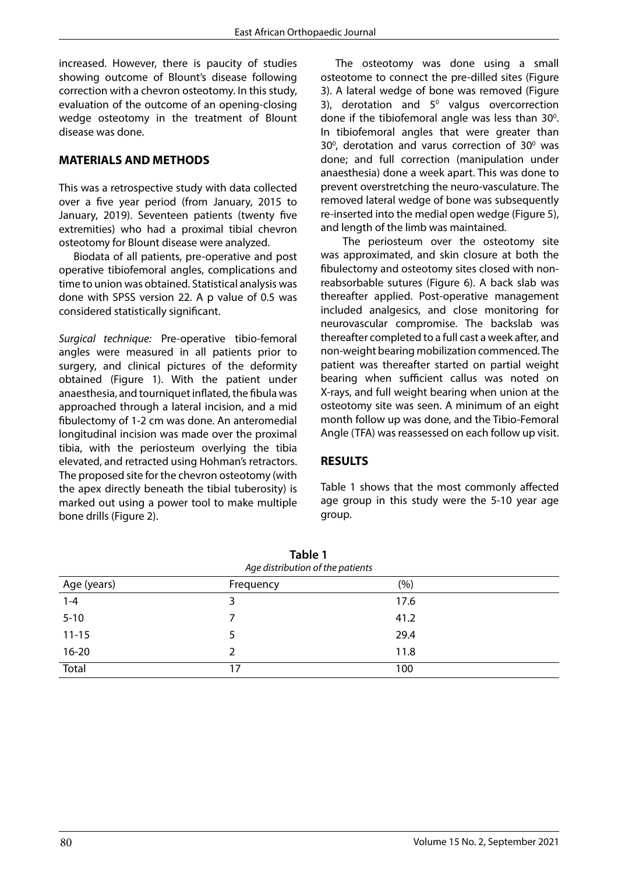increased. However, there is paucity of studies showing outcome of Blount's disease following correction with a chevron osteotomy. In this study, evaluation of the outcome of an opening-closing wedge osteotomy in the treatment of Blount disease was done.

#### **MATERIALS AND METHODS**

This was a retrospective study with data collected over a five year period (from January, 2015 to January, 2019). Seventeen patients (twenty five extremities) who had a proximal tibial chevron osteotomy for Blount disease were analyzed.

Biodata of all patients, pre-operative and post operative tibiofemoral angles, complications and time to union was obtained. Statistical analysis was done with SPSS version 22. A p value of 0.5 was considered statistically significant.

*Surgical technique:* Pre-operative tibio-femoral angles were measured in all patients prior to surgery, and clinical pictures of the deformity obtained (Figure 1). With the patient under anaesthesia, and tourniquet inflated, the fibula was approached through a lateral incision, and a mid fibulectomy of 1-2 cm was done. An anteromedial longitudinal incision was made over the proximal tibia, with the periosteum overlying the tibia elevated, and retracted using Hohman's retractors. The proposed site for the chevron osteotomy (with the apex directly beneath the tibial tuberosity) is marked out using a power tool to make multiple bone drills (Figure 2).

The osteotomy was done using a small osteotome to connect the pre-dilled sites (Figure 3). A lateral wedge of bone was removed (Figure 3), derotation and  $5^{\circ}$  valgus overcorrection done if the tibiofemoral angle was less than  $30^\circ$ . In tibiofemoral angles that were greater than  $30^{\circ}$ , derotation and varus correction of  $30^{\circ}$  was done; and full correction (manipulation under anaesthesia) done a week apart. This was done to prevent overstretching the neuro-vasculature. The removed lateral wedge of bone was subsequently re-inserted into the medial open wedge (Figure 5), and length of the limb was maintained.

 The periosteum over the osteotomy site was approximated, and skin closure at both the fibulectomy and osteotomy sites closed with nonreabsorbable sutures (Figure 6). A back slab was thereafter applied. Post-operative management included analgesics, and close monitoring for neurovascular compromise. The backslab was thereafter completed to a full cast a week after, and non-weight bearing mobilization commenced. The patient was thereafter started on partial weight bearing when sufficient callus was noted on X-rays, and full weight bearing when union at the osteotomy site was seen. A minimum of an eight month follow up was done, and the Tibio-Femoral Angle (TFA) was reassessed on each follow up visit.

#### **RESULTS**

Table 1 shows that the most commonly affected age group in this study were the 5-10 year age group.

| Table 1<br>Age distribution of the patients |           |      |  |  |
|---------------------------------------------|-----------|------|--|--|
| Age (years)                                 | Frequency | (%)  |  |  |
| $1 - 4$                                     | 3         | 17.6 |  |  |
| $5 - 10$                                    | 7         | 41.2 |  |  |
| $11 - 15$                                   | 5.        | 29.4 |  |  |
| $16 - 20$                                   | 2         | 11.8 |  |  |
| <b>Total</b>                                | 17        | 100  |  |  |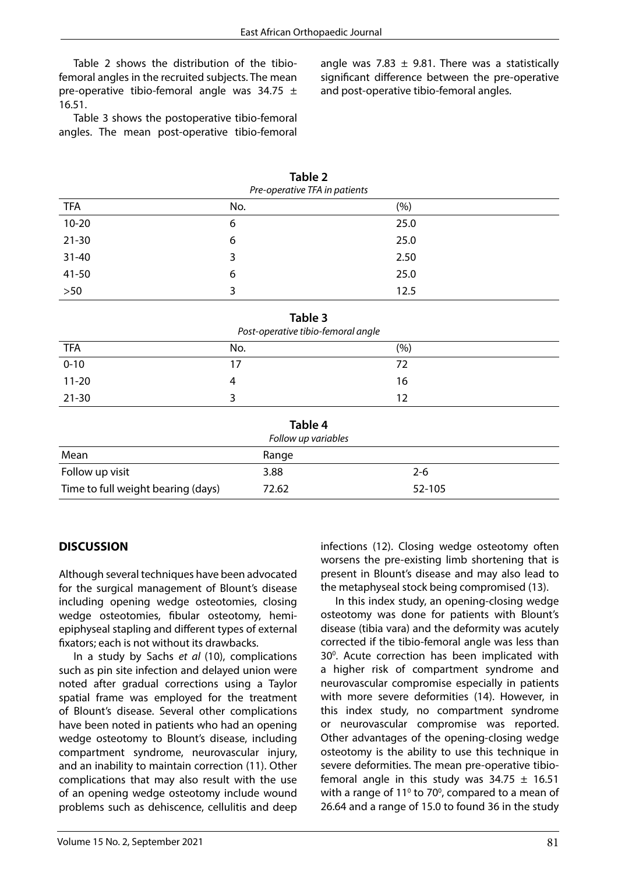Table 2 shows the distribution of the tibiofemoral angles in the recruited subjects. The mean pre-operative tibio-femoral angle was 34.75  $\pm$ 16.51.

Table 3 shows the postoperative tibio-femoral angles. The mean post-operative tibio-femoral angle was 7.83  $\pm$  9.81. There was a statistically significant difference between the pre-operative and post-operative tibio-femoral angles.

| Pre-operative TFA in patients |     |      |  |  |
|-------------------------------|-----|------|--|--|
| <b>TFA</b>                    | No. | (%)  |  |  |
| $10 - 20$                     | 6   | 25.0 |  |  |
| $21 - 30$                     | 6   | 25.0 |  |  |
| $31 - 40$                     | 3   | 2.50 |  |  |
| 41-50                         | 6   | 25.0 |  |  |
| $>50$                         | 3   | 12.5 |  |  |

**Table 2**

| Table 3<br>Post-operative tibio-femoral angle |     |     |  |  |
|-----------------------------------------------|-----|-----|--|--|
| <b>TFA</b>                                    | No. | (%) |  |  |
| $0 - 10$                                      | 17  | 72  |  |  |
| $11 - 20$                                     |     | 16  |  |  |
| $21 - 30$                                     |     | 12  |  |  |

| Table 4<br>Follow up variables     |       |         |  |  |  |
|------------------------------------|-------|---------|--|--|--|
|                                    |       |         |  |  |  |
| Follow up visit                    | 3.88  | $2 - 6$ |  |  |  |
| Time to full weight bearing (days) | 72.62 | 52-105  |  |  |  |

#### **DISCUSSION**

Although several techniques have been advocated for the surgical management of Blount's disease including opening wedge osteotomies, closing wedge osteotomies, fibular osteotomy, hemiepiphyseal stapling and different types of external fixators; each is not without its drawbacks.

In a study by Sachs *et al* (10), complications such as pin site infection and delayed union were noted after gradual corrections using a Taylor spatial frame was employed for the treatment of Blount's disease. Several other complications have been noted in patients who had an opening wedge osteotomy to Blount's disease, including compartment syndrome, neurovascular injury, and an inability to maintain correction (11). Other complications that may also result with the use of an opening wedge osteotomy include wound problems such as dehiscence, cellulitis and deep

infections (12). Closing wedge osteotomy often worsens the pre-existing limb shortening that is present in Blount's disease and may also lead to the metaphyseal stock being compromised (13).

In this index study, an opening-closing wedge osteotomy was done for patients with Blount's disease (tibia vara) and the deformity was acutely corrected if the tibio-femoral angle was less than 30<sup>°</sup>. Acute correction has been implicated with a higher risk of compartment syndrome and neurovascular compromise especially in patients with more severe deformities (14). However, in this index study, no compartment syndrome or neurovascular compromise was reported. Other advantages of the opening-closing wedge osteotomy is the ability to use this technique in severe deformities. The mean pre-operative tibiofemoral angle in this study was  $34.75 \pm 16.51$ with a range of  $11^{\circ}$  to 70 $^{\circ}$ , compared to a mean of 26.64 and a range of 15.0 to found 36 in the study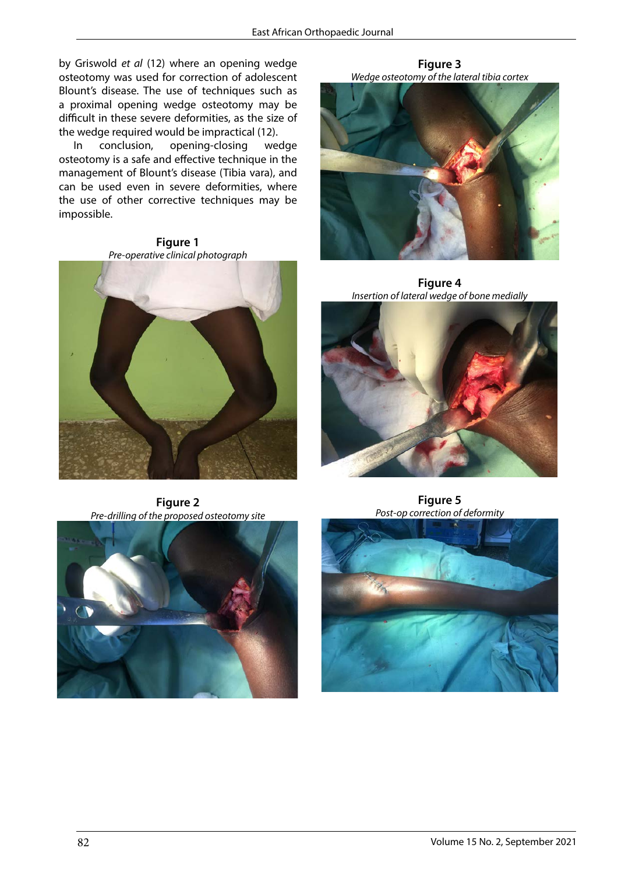by Griswold *et al* (12) where an opening wedge osteotomy was used for correction of adolescent Blount's disease. The use of techniques such as a proximal opening wedge osteotomy may be difficult in these severe deformities, as the size of the wedge required would be impractical (12).

In conclusion, opening-closing wedge osteotomy is a safe and effective technique in the management of Blount's disease (Tibia vara), and can be used even in severe deformities, where the use of other corrective techniques may be impossible.

**Figure 1 Figure 1**  *Pre-operative clinical photograph Pre-operative clinical photograph* 



**Figure 3** *Wedge osteotomy of the lateral tibia cortex* **Figure3**  *Wedge osteotomy of the lateral tibia cortex* 



**Figure 4** *Insertion of lateral wedge of bone medially* **Figure 4**  *Insertion of lateral wedge of bone medially* 



**Figure 2 Figure 2**  *Pre-drilling of the proposed osteotomy site Pre-drilling of the proposed osteotomy site* 



**Figure 5 Figure5**  *Post-op correction of deformity Post-op correction of deformity*